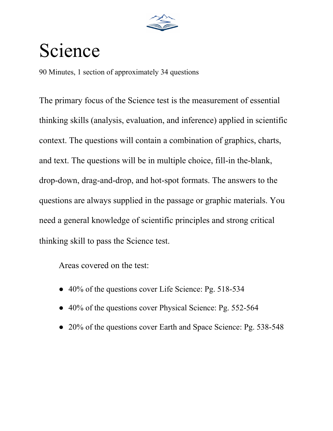

## Science

90 Minutes, 1 section of approximately 34 questions

The primary focus of the Science test is the measurement of essential thinking skills (analysis, evaluation, and inference) applied in scientific context. The questions will contain a combination of graphics, charts, and text. The questions will be in multiple choice, fill-in the-blank, drop-down, drag-and-drop, and hot-spot formats. The answers to the questions are always supplied in the passage or graphic materials. You need a general knowledge of scientific principles and strong critical thinking skill to pass the Science test.

Areas covered on the test:

- 40% of the questions cover Life Science: Pg. 518-534
- 40% of the questions cover Physical Science: Pg. 552-564
- 20% of the questions cover Earth and Space Science: Pg. 538-548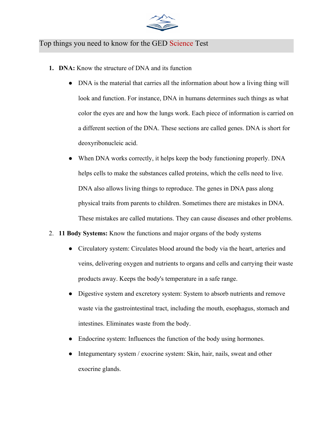

## Top things you need to know for the GED Science Test

- **1. DNA:** Know the structure of DNA and its function
	- DNA is the material that carries all the information about how a living thing will look and function. For instance, DNA in humans determines such things as what color the eyes are and how the lungs work. Each piece of information is carried on a different section of the DNA. These sections are called genes. DNA is short for deoxyribonucleic acid.
	- When DNA works correctly, it helps keep the body functioning properly. DNA helps cells to make the substances called proteins, which the cells need to live. DNA also allows living things to reproduce. The genes in DNA pass along physical traits from parents to children. Sometimes there are mistakes in DNA. These mistakes are called mutations. They can cause diseases and other problems.
- 2. **11 Body Systems:** Know the functions and major organs of the body systems
	- Circulatory system: Circulates blood around the body via the heart, arteries and veins, delivering oxygen and nutrients to organs and cells and carrying their waste products away. Keeps the body's temperature in a safe range.
	- Digestive system and excretory system: System to absorb nutrients and remove waste via the gastrointestinal tract, including the mouth, esophagus, stomach and intestines. Eliminates waste from the body.
	- Endocrine system: Influences the function of the body using hormones.
	- Integumentary system / exocrine system: Skin, hair, nails, sweat and other exocrine glands.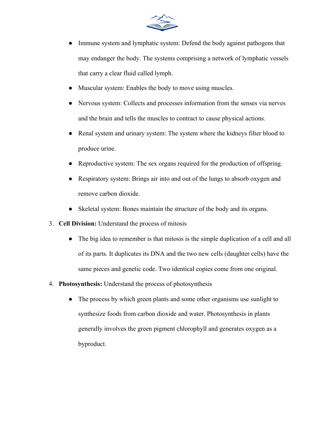

- Immune system and lymphatic system: Defend the body against pathogens that may endanger the body. The systems comprising a network of lymphatic vessels that carry a clear fluid called lymph.
- Muscular system: Enables the body to move using muscles.
- Nervous system: Collects and processes information from the senses via nerves and the brain and tells the muscles to contract to cause physical actions.
- Renal system and urinary system: The system where the kidneys filter blood to produce urine.
- Reproductive system: The sex organs required for the production of offspring.
- Respiratory system: Brings air into and out of the lungs to absorb oxygen and remove carbon dioxide.
- Skeletal system: Bones maintain the structure of the body and its organs.
- 3. **Cell Division:** Understand the process of mitosis
	- The big idea to remember is that mitosis is the simple duplication of a cell and all of its parts. It duplicates its DNA and the two new cells (daughter cells) have the same pieces and genetic code. Two identical copies come from one original.
- 4. **Photosynthesis:** Understand the process of photosynthesis
	- The process by which green plants and some other organisms use sunlight to synthesize foods from carbon dioxide and water. Photosynthesis in plants generally involves the green pigment chlorophyll and generates oxygen as a byproduct.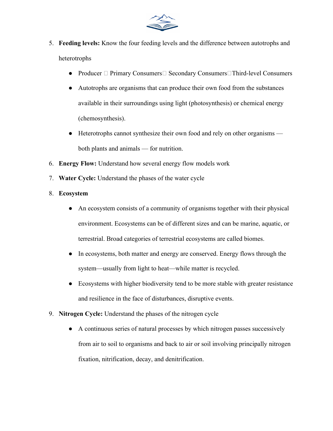

- 5. **Feeding levels:** Know the four feeding levels and the difference between autotrophs and heterotrophs
	- Producer  $\Box$  Primary Consumers $\Box$  Secondary Consumers $\Box$ Third-level Consumers
	- Autotrophs are organisms that can produce their own food from the substances available in their surroundings using light (photosynthesis) or chemical energy (chemosynthesis).
	- Heterotrophs cannot synthesize their own food and rely on other organisms both plants and animals — for nutrition.
- 6. **Energy Flow:** Understand how several energy flow models work
- 7. **Water Cycle:** Understand the phases of the water cycle
- 8. **Ecosystem**
	- An ecosystem consists of a community of organisms together with their physical environment. Ecosystems can be of different sizes and can be marine, aquatic, or terrestrial. Broad categories of terrestrial ecosystems are called biomes.
	- In ecosystems, both matter and energy are conserved. Energy flows through the system—usually from light to heat—while matter is recycled.
	- Ecosystems with higher biodiversity tend to be more stable with greater resistance and resilience in the face of disturbances, disruptive events.
- 9. **Nitrogen Cycle:** Understand the phases of the nitrogen cycle
	- A continuous series of natural processes by which nitrogen passes successively from air to soil to organisms and back to air or soil involving principally nitrogen fixation, nitrification, decay, and denitrification.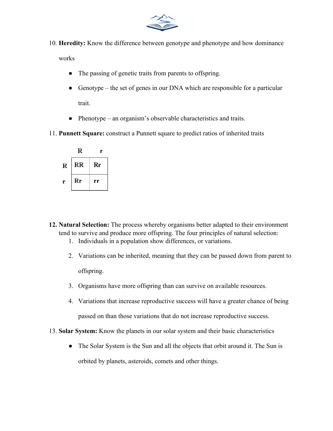

- 10. **Heredity:** Know the difference between genotype and phenotype and how dominance works
	- The passing of genetic traits from parents to offspring.
	- Genotype the set of genes in our DNA which are responsible for a particular trait.
	- Phenotype an organism's observable characteristics and traits.
- 11. **Punnett Square:** construct a Punnett square to predict ratios of inherited traits

|             | R           |    |
|-------------|-------------|----|
| $\mathbf R$ | $_{\rm RR}$ | Rr |
|             | Rr          | rr |

- **12. Natural Selection:** The process whereby organisms better adapted to their environment tend to survive and produce more offspring. The four principles of natural selection:
	- 1. Individuals in a population show differences, or variations.
	- 2. Variations can be inherited, meaning that they can be passed down from parent to offspring.
	- 3. Organisms have more offspring than can survive on available resources.
	- 4. Variations that increase reproductive success will have a greater chance of being passed on than those variations that do not increase reproductive success.
- 13. **Solar System:** Know the planets in our solar system and their basic characteristics
	- The Solar System is the Sun and all the objects that orbit around it. The Sun is orbited by planets, asteroids, comets and other things.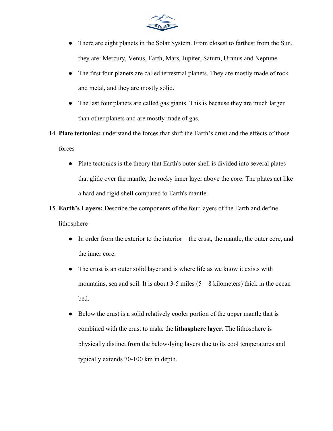

- There are eight planets in the Solar System. From closest to farthest from the Sun, they are: Mercury, Venus, Earth, Mars, Jupiter, Saturn, Uranus and Neptune.
- The first four planets are called terrestrial planets. They are mostly made of rock and metal, and they are mostly solid.
- The last four planets are called gas giants. This is because they are much larger than other planets and are mostly made of gas.
- 14. **Plate tectonics:** understand the forces that shift the Earth's crust and the effects of those forces
	- Plate tectonics is the theory that Earth's outer shell is divided into several plates that glide over the mantle, the rocky inner layer above the core. The plates act like a hard and rigid shell compared to Earth's mantle.
- 15. **Earth's Layers:** Describe the components of the four layers of the Earth and define lithosphere
	- In order from the exterior to the interior the crust, the mantle, the outer core, and the inner core.
	- The crust is an outer solid layer and is where life as we know it exists with mountains, sea and soil. It is about  $3-5$  miles  $(5-8)$  kilometers) thick in the ocean bed.
	- Below the crust is a solid relatively cooler portion of the upper mantle that is combined with the crust to make the **lithosphere layer**. The lithosphere is physically distinct from the below-lying layers due to its cool temperatures and typically extends 70-100 km in depth.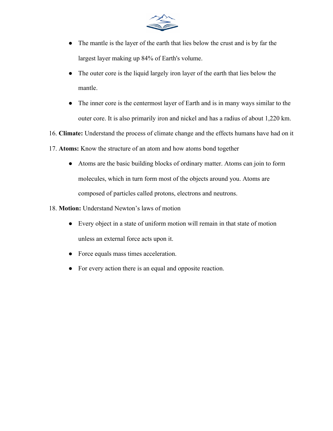

- The mantle is the layer of the earth that lies below the crust and is by far the largest layer making up 84% of Earth's volume.
- The outer core is the liquid largely iron layer of the earth that lies below the mantle.
- The inner core is the centermost layer of Earth and is in many ways similar to the outer core. It is also primarily iron and nickel and has a radius of about 1,220 km.
- 16. **Climate:** Understand the process of climate change and the effects humans have had on it
- 17. **Atoms:** Know the structure of an atom and how atoms bond together
	- Atoms are the basic building blocks of ordinary matter. Atoms can join to form molecules, which in turn form most of the objects around you. Atoms are composed of particles called protons, electrons and neutrons.
- 18. **Motion:** Understand Newton's laws of motion
	- Every object in a state of uniform motion will remain in that state of motion unless an external force acts upon it.
	- Force equals mass times acceleration.
	- For every action there is an equal and opposite reaction.